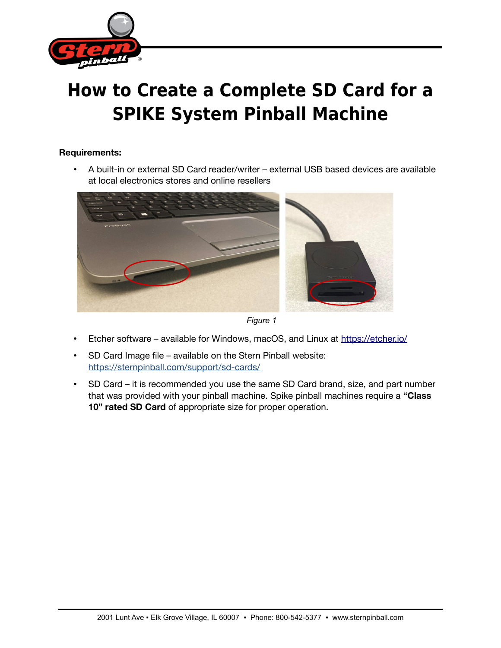

## **How to Create a Complete SD Card for a SPIKE System Pinball Machine**

## **Requirements:**

• A built-in or external SD Card reader/writer – external USB based devices are available at local electronics stores and online resellers





- Etcher software available for Windows, macOS, and Linux at<https://etcher.io/>
- SD Card Image file available on the Stern Pinball website: <https://sternpinball.com/support/sd-cards/>
- SD Card it is recommended you use the same SD Card brand, size, and part number that was provided with your pinball machine. Spike pinball machines require a **"Class 10" rated SD Card** of appropriate size for proper operation.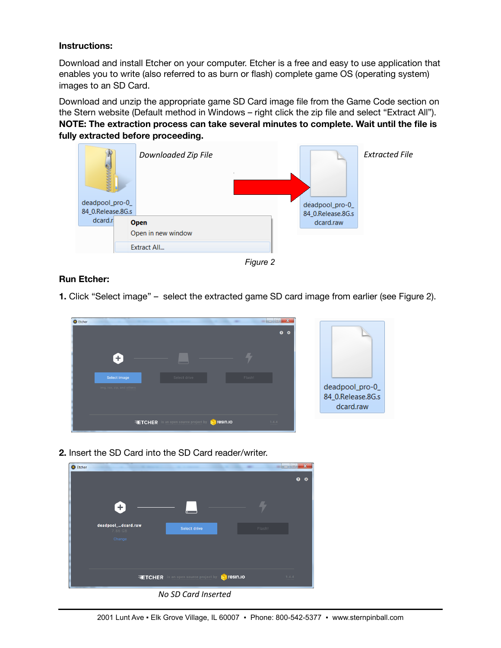## **Instructions:**

Download and install Etcher on your computer. Etcher is a free and easy to use application that enables you to write (also referred to as burn or flash) complete game OS (operating system) images to an SD Card.

Download and unzip the appropriate game SD Card image file from the Game Code section on the Stern website (Default method in Windows – right click the zip file and select "Extract All"). **NOTE: The extraction process can take several minutes to complete. Wait until the file is fully extracted before proceeding.**





## **Run Etcher:**

**1.** Click "Select image" – select the extracted game SD card image from earlier (see Figure 2).



**2.** Insert the SD Card into the SD Card reader/writer.



*No SD Card Inserted*